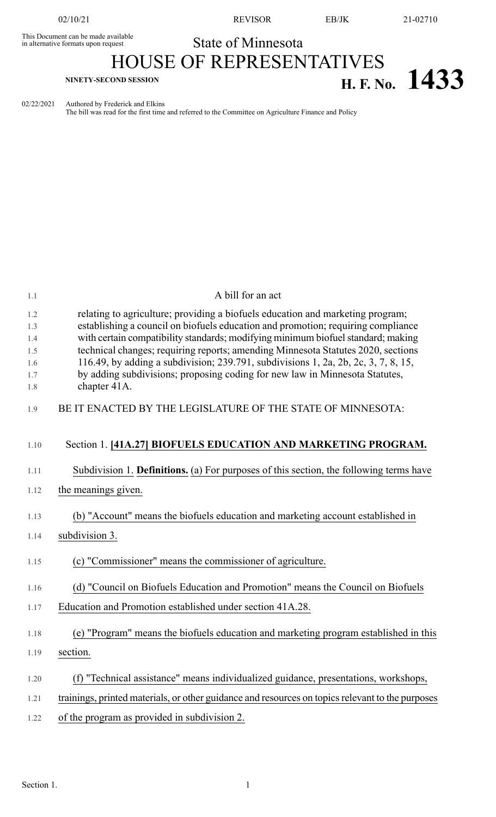This Document can be made available<br>in alternative formats upon request

02/10/21 REVISOR EB/JK 21-02710

## State of Minnesota HOUSE OF REPRESENTATIVES

## **H. F. No. 1433**

02/22/2021 Authored by Frederick and Elkins

The bill was read for the first time and referred to the Committee on Agriculture Finance and Policy

| 1.1        | A bill for an act                                                                                                                                                      |
|------------|------------------------------------------------------------------------------------------------------------------------------------------------------------------------|
| 1.2<br>1.3 | relating to agriculture; providing a biofuels education and marketing program;<br>establishing a council on biofuels education and promotion; requiring compliance     |
| 1.4        | with certain compatibility standards; modifying minimum biofuel standard; making                                                                                       |
| 1.5        | technical changes; requiring reports; amending Minnesota Statutes 2020, sections<br>116.49, by adding a subdivision; 239.791, subdivisions 1, 2a, 2b, 2c, 3, 7, 8, 15, |
| 1.6<br>1.7 | by adding subdivisions; proposing coding for new law in Minnesota Statutes,                                                                                            |
| 1.8        | chapter 41A.                                                                                                                                                           |
| 1.9        | BE IT ENACTED BY THE LEGISLATURE OF THE STATE OF MINNESOTA:                                                                                                            |
| 1.10       | Section 1. [41A.27] BIOFUELS EDUCATION AND MARKETING PROGRAM.                                                                                                          |
| 1.11       | Subdivision 1. Definitions. (a) For purposes of this section, the following terms have                                                                                 |
| 1.12       | the meanings given.                                                                                                                                                    |
|            |                                                                                                                                                                        |
| 1.13       | (b) "Account" means the biofuels education and marketing account established in                                                                                        |
| 1.14       | subdivision 3.                                                                                                                                                         |
| 1.15       | (c) "Commissioner" means the commissioner of agriculture.                                                                                                              |
| 1.16       | (d) "Council on Biofuels Education and Promotion" means the Council on Biofuels                                                                                        |
| 1.17       | Education and Promotion established under section 41A.28.                                                                                                              |
| 1.18       | (e) "Program" means the biofuels education and marketing program established in this                                                                                   |
| 1.19       | section.                                                                                                                                                               |
| 1.20       | (f) "Technical assistance" means individualized guidance, presentations, workshops,                                                                                    |
| 1.21       | trainings, printed materials, or other guidance and resources on topics relevant to the purposes                                                                       |
| 1.22       | of the program as provided in subdivision 2.                                                                                                                           |
|            |                                                                                                                                                                        |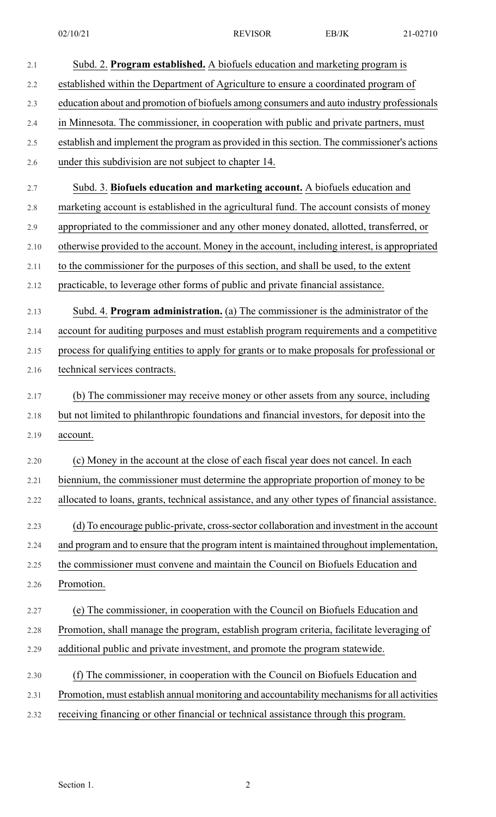02/10/21 REVISOR EB/JK 21-02710

| 2.1  | Subd. 2. Program established. A biofuels education and marketing program is                    |  |  |
|------|------------------------------------------------------------------------------------------------|--|--|
| 2.2  | established within the Department of Agriculture to ensure a coordinated program of            |  |  |
| 2.3  | education about and promotion of biofuels among consumers and auto industry professionals      |  |  |
| 2.4  | in Minnesota. The commissioner, in cooperation with public and private partners, must          |  |  |
| 2.5  | establish and implement the program as provided in this section. The commissioner's actions    |  |  |
| 2.6  | under this subdivision are not subject to chapter 14.                                          |  |  |
| 2.7  | Subd. 3. Biofuels education and marketing account. A biofuels education and                    |  |  |
| 2.8  | marketing account is established in the agricultural fund. The account consists of money       |  |  |
| 2.9  | appropriated to the commissioner and any other money donated, allotted, transferred, or        |  |  |
| 2.10 | otherwise provided to the account. Money in the account, including interest, is appropriated   |  |  |
| 2.11 | to the commissioner for the purposes of this section, and shall be used, to the extent         |  |  |
| 2.12 | practicable, to leverage other forms of public and private financial assistance.               |  |  |
| 2.13 | Subd. 4. Program administration. (a) The commissioner is the administrator of the              |  |  |
| 2.14 | account for auditing purposes and must establish program requirements and a competitive        |  |  |
| 2.15 | process for qualifying entities to apply for grants or to make proposals for professional or   |  |  |
| 2.16 | technical services contracts.                                                                  |  |  |
| 2.17 | (b) The commissioner may receive money or other assets from any source, including              |  |  |
| 2.18 | but not limited to philanthropic foundations and financial investors, for deposit into the     |  |  |
| 2.19 | account.                                                                                       |  |  |
| 2.20 | (c) Money in the account at the close of each fiscal year does not cancel. In each             |  |  |
| 2.21 | biennium, the commissioner must determine the appropriate proportion of money to be            |  |  |
| 2.22 | allocated to loans, grants, technical assistance, and any other types of financial assistance. |  |  |
| 2.23 | (d) To encourage public-private, cross-sector collaboration and investment in the account      |  |  |
| 2.24 | and program and to ensure that the program intent is maintained throughout implementation,     |  |  |
| 2.25 | the commissioner must convene and maintain the Council on Biofuels Education and               |  |  |
| 2.26 | Promotion.                                                                                     |  |  |
| 2.27 | (e) The commissioner, in cooperation with the Council on Biofuels Education and                |  |  |
| 2.28 | Promotion, shall manage the program, establish program criteria, facilitate leveraging of      |  |  |
| 2.29 | additional public and private investment, and promote the program statewide.                   |  |  |
| 2.30 | (f) The commissioner, in cooperation with the Council on Biofuels Education and                |  |  |
| 2.31 | Promotion, must establish annual monitoring and accountability mechanisms for all activities   |  |  |
| 2.32 | receiving financing or other financial or technical assistance through this program.           |  |  |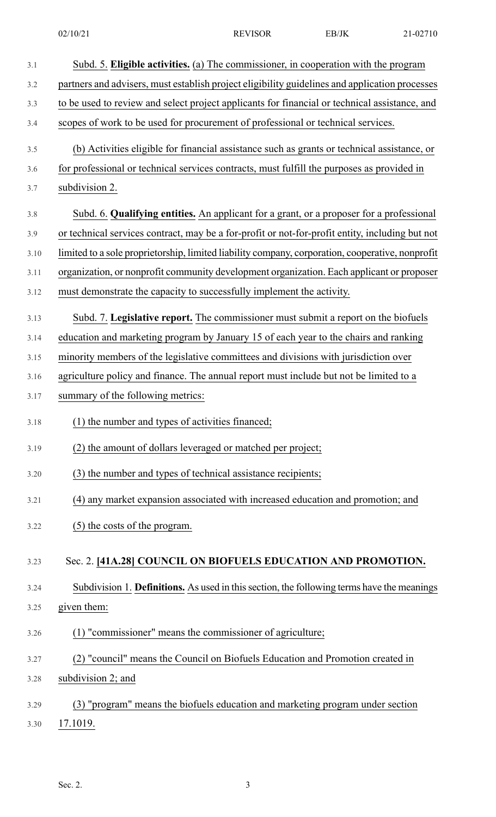| 3.1  | Subd. 5. Eligible activities. (a) The commissioner, in cooperation with the program              |  |  |
|------|--------------------------------------------------------------------------------------------------|--|--|
| 3.2  | partners and advisers, must establish project eligibility guidelines and application processes   |  |  |
| 3.3  | to be used to review and select project applicants for financial or technical assistance, and    |  |  |
| 3.4  | scopes of work to be used for procurement of professional or technical services.                 |  |  |
| 3.5  | (b) Activities eligible for financial assistance such as grants or technical assistance, or      |  |  |
| 3.6  | for professional or technical services contracts, must fulfill the purposes as provided in       |  |  |
| 3.7  | subdivision 2.                                                                                   |  |  |
| 3.8  | Subd. 6. Qualifying entities. An applicant for a grant, or a proposer for a professional         |  |  |
| 3.9  | or technical services contract, may be a for-profit or not-for-profit entity, including but not  |  |  |
| 3.10 | limited to a sole proprietorship, limited liability company, corporation, cooperative, nonprofit |  |  |
| 3.11 | organization, or nonprofit community development organization. Each applicant or proposer        |  |  |
| 3.12 | must demonstrate the capacity to successfully implement the activity.                            |  |  |
| 3.13 | Subd. 7. Legislative report. The commissioner must submit a report on the biofuels               |  |  |
| 3.14 | education and marketing program by January 15 of each year to the chairs and ranking             |  |  |
| 3.15 | minority members of the legislative committees and divisions with jurisdiction over              |  |  |
| 3.16 | agriculture policy and finance. The annual report must include but not be limited to a           |  |  |
| 3.17 | summary of the following metrics:                                                                |  |  |
| 3.18 | (1) the number and types of activities financed;                                                 |  |  |
| 3.19 | (2) the amount of dollars leveraged or matched per project;                                      |  |  |
| 3.20 | (3) the number and types of technical assistance recipients;                                     |  |  |
| 3.21 | (4) any market expansion associated with increased education and promotion; and                  |  |  |
| 3.22 | (5) the costs of the program.                                                                    |  |  |
| 3.23 | Sec. 2. [41A.28] COUNCIL ON BIOFUELS EDUCATION AND PROMOTION.                                    |  |  |
| 3.24 | Subdivision 1. Definitions. As used in this section, the following terms have the meanings       |  |  |
| 3.25 | given them:                                                                                      |  |  |
| 3.26 | (1) "commissioner" means the commissioner of agriculture;                                        |  |  |
| 3.27 | (2) "council" means the Council on Biofuels Education and Promotion created in                   |  |  |
| 3.28 | subdivision 2; and                                                                               |  |  |
| 3.29 | (3) "program" means the biofuels education and marketing program under section                   |  |  |
| 3.30 | 17.1019.                                                                                         |  |  |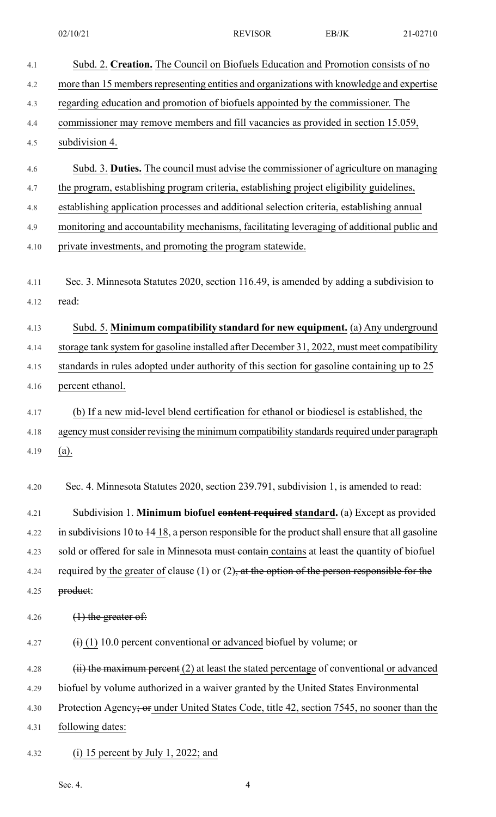| 4.1          | Subd. 2. Creation. The Council on Biofuels Education and Promotion consists of no                           |  |  |  |
|--------------|-------------------------------------------------------------------------------------------------------------|--|--|--|
| 4.2          | more than 15 members representing entities and organizations with knowledge and expertise                   |  |  |  |
| 4.3          | regarding education and promotion of biofuels appointed by the commissioner. The                            |  |  |  |
| 4.4          | commissioner may remove members and fill vacancies as provided in section 15.059,                           |  |  |  |
| 4.5          | subdivision 4.                                                                                              |  |  |  |
| 4.6          | Subd. 3. Duties. The council must advise the commissioner of agriculture on managing                        |  |  |  |
| 4.7          | the program, establishing program criteria, establishing project eligibility guidelines,                    |  |  |  |
| 4.8          | establishing application processes and additional selection criteria, establishing annual                   |  |  |  |
| 4.9          | monitoring and accountability mechanisms, facilitating leveraging of additional public and                  |  |  |  |
| 4.10         | private investments, and promoting the program statewide.                                                   |  |  |  |
| 4.11<br>4.12 | Sec. 3. Minnesota Statutes 2020, section 116.49, is amended by adding a subdivision to<br>read:             |  |  |  |
|              |                                                                                                             |  |  |  |
| 4.13         | Subd. 5. Minimum compatibility standard for new equipment. (a) Any underground                              |  |  |  |
| 4.14         | storage tank system for gasoline installed after December 31, 2022, must meet compatibility                 |  |  |  |
| 4.15         | standards in rules adopted under authority of this section for gasoline containing up to 25                 |  |  |  |
| 4.16         | percent ethanol.                                                                                            |  |  |  |
| 4.17         | (b) If a new mid-level blend certification for ethanol or biodiesel is established, the                     |  |  |  |
| 4.18         | agency must consider revising the minimum compatibility standards required under paragraph                  |  |  |  |
| 4.19         | (a).                                                                                                        |  |  |  |
| 4.20         | Sec. 4. Minnesota Statutes 2020, section 239.791, subdivision 1, is amended to read:                        |  |  |  |
| 4.21         | Subdivision 1. Minimum biofuel content required standard. (a) Except as provided                            |  |  |  |
| 4.22         | in subdivisions 10 to $\frac{14}{18}$ , a person responsible for the product shall ensure that all gasoline |  |  |  |
| 4.23         | sold or offered for sale in Minnesota must contained contains at least the quantity of biofuel              |  |  |  |
| 4.24         | required by the greater of clause (1) or $(2)$ , at the option of the person responsible for the            |  |  |  |
| 4.25         | product:                                                                                                    |  |  |  |
| 4.26         | $(1)$ the greater of:                                                                                       |  |  |  |
| 4.27         | $\overrightarrow{(1)}$ (1) 10.0 percent conventional or advanced biofuel by volume; or                      |  |  |  |
| 4.28         | $(ii)$ the maximum percent (2) at least the stated percentage of conventional or advanced                   |  |  |  |
| 4.29         | biofuel by volume authorized in a waiver granted by the United States Environmental                         |  |  |  |
| 4.30         | Protection Agency; or under United States Code, title 42, section 7545, no sooner than the                  |  |  |  |
| 4.31         | following dates:                                                                                            |  |  |  |
| 4.32         | (i) 15 percent by July 1, 2022; and                                                                         |  |  |  |

Sec. 4.  $\qquad \qquad \text{4}$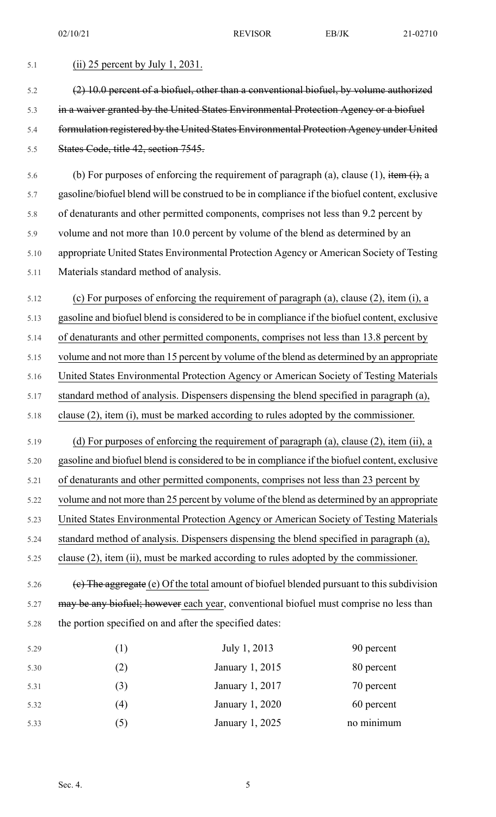| 5.1  | $(ii)$ 25 percent by July 1, 2031.                                                             |                                                                                                |            |  |  |
|------|------------------------------------------------------------------------------------------------|------------------------------------------------------------------------------------------------|------------|--|--|
| 5.2  | (2) 10.0 percent of a biofuel, other than a conventional biofuel, by volume authorized         |                                                                                                |            |  |  |
| 5.3  | in a waiver granted by the United States Environmental Protection Agency or a biofuel          |                                                                                                |            |  |  |
| 5.4  | formulation registered by the United States Environmental Protection Agency under United       |                                                                                                |            |  |  |
| 5.5  | States Code, title 42, section 7545.                                                           |                                                                                                |            |  |  |
| 5.6  | (b) For purposes of enforcing the requirement of paragraph (a), clause (1), item $(i)$ , a     |                                                                                                |            |  |  |
| 5.7  |                                                                                                | gasoline/biofuel blend will be construed to be in compliance if the biofuel content, exclusive |            |  |  |
| 5.8  | of denaturants and other permitted components, comprises not less than 9.2 percent by          |                                                                                                |            |  |  |
| 5.9  | volume and not more than 10.0 percent by volume of the blend as determined by an               |                                                                                                |            |  |  |
| 5.10 | appropriate United States Environmental Protection Agency or American Society of Testing       |                                                                                                |            |  |  |
| 5.11 | Materials standard method of analysis.                                                         |                                                                                                |            |  |  |
| 5.12 |                                                                                                | (c) For purposes of enforcing the requirement of paragraph (a), clause (2), item (i), a        |            |  |  |
| 5.13 | gasoline and biofuel blend is considered to be in compliance if the biofuel content, exclusive |                                                                                                |            |  |  |
| 5.14 | of denaturants and other permitted components, comprises not less than 13.8 percent by         |                                                                                                |            |  |  |
| 5.15 | volume and not more than 15 percent by volume of the blend as determined by an appropriate     |                                                                                                |            |  |  |
| 5.16 | United States Environmental Protection Agency or American Society of Testing Materials         |                                                                                                |            |  |  |
| 5.17 | standard method of analysis. Dispensers dispensing the blend specified in paragraph (a),       |                                                                                                |            |  |  |
| 5.18 |                                                                                                | clause $(2)$ , item $(i)$ , must be marked according to rules adopted by the commissioner.     |            |  |  |
| 5.19 |                                                                                                | (d) For purposes of enforcing the requirement of paragraph (a), clause (2), item (ii), a       |            |  |  |
| 5.20 |                                                                                                | gasoline and biofuel blend is considered to be in compliance if the biofuel content, exclusive |            |  |  |
| 5.21 | of denaturants and other permitted components, comprises not less than 23 percent by           |                                                                                                |            |  |  |
| 5.22 |                                                                                                | volume and not more than 25 percent by volume of the blend as determined by an appropriate     |            |  |  |
| 5.23 |                                                                                                | United States Environmental Protection Agency or American Society of Testing Materials         |            |  |  |
| 5.24 | standard method of analysis. Dispensers dispensing the blend specified in paragraph (a),       |                                                                                                |            |  |  |
| 5.25 |                                                                                                | clause (2), item (ii), must be marked according to rules adopted by the commissioner.          |            |  |  |
| 5.26 |                                                                                                | (e) The aggregate (e) Of the total amount of biofuel blended pursuant to this subdivision      |            |  |  |
| 5.27 |                                                                                                | may be any biofuel; however each year, conventional biofuel must comprise no less than         |            |  |  |
| 5.28 | the portion specified on and after the specified dates:                                        |                                                                                                |            |  |  |
| 5.29 | (1)                                                                                            | July 1, 2013                                                                                   | 90 percent |  |  |
| 5.30 | (2)                                                                                            | January 1, 2015                                                                                | 80 percent |  |  |
| 5.31 | (3)                                                                                            | January 1, 2017                                                                                | 70 percent |  |  |
| 5.32 | (4)                                                                                            | January 1, 2020                                                                                | 60 percent |  |  |

5.33 (5) January 1, 2025 no minimum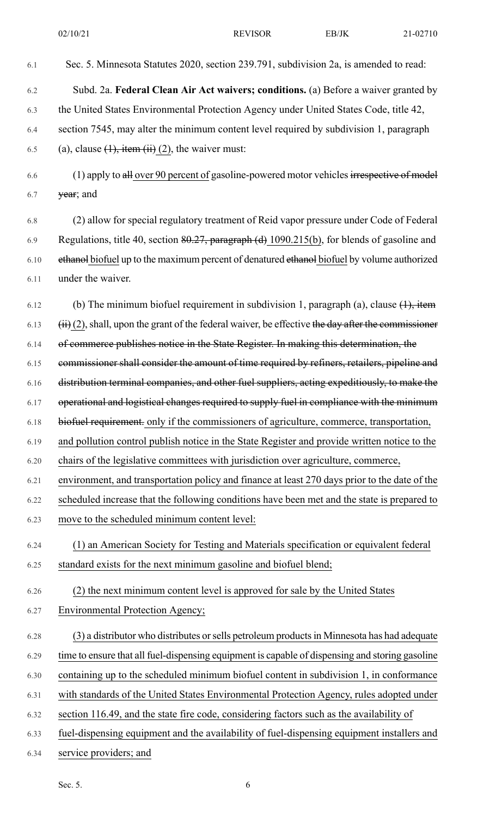- 6.1 Sec. 5. Minnesota Statutes 2020, section 239.791, subdivision 2a, is amended to read: 6.2 Subd. 2a. **Federal Clean Air Act waivers; conditions.** (a) Before a waiver granted by 6.3 the United States Environmental Protection Agency under United States Code, title 42, 6.4 section 7545, may alter the minimum content level required by subdivision 1, paragraph 6.5 (a), clause  $(1)$ , item  $(ii)$   $(2)$ , the waiver must:  $6.6$  (1) apply to all over 90 percent of gasoline-powered motor vehicles irrespective of model 6.7 **year**; and 6.8 (2) allow for special regulatory treatment of Reid vapor pressure under Code of Federal 6.9 Regulations, title 40, section 80.27, paragraph (d) 1090.215(b), for blends of gasoline and 6.10 ethanol biofuel up to the maximum percent of denatured ethanol biofuel by volume authorized 6.11 under the waiver. 6.12 (b) The minimum biofuel requirement in subdivision 1, paragraph (a), clause  $(1)$ , item  $6.13$  (ii) (2), shall, upon the grant of the federal waiver, be effective the day after the commissioner 6.14 of commerce publishes notice in the State Register. In making this determination, the 6.15 commissioner shall consider the amount of time required by refiners, retailers, pipeline and 6.16 distribution terminal companies, and other fuel suppliers, acting expeditiously, to make the 6.17 operational and logistical changes required to supply fuel in compliance with the minimum 6.18 biofuel requirement. only if the commissioners of agriculture, commerce, transportation, 6.19 and pollution control publish notice in the State Register and provide written notice to the 6.20 chairs of the legislative committees with jurisdiction over agriculture, commerce, 6.21 environment, and transportation policy and finance at least 270 days prior to the date of the 6.22 scheduled increase that the following conditions have been met and the state is prepared to 6.23 move to the scheduled minimum content level: 6.24 (1) an American Society for Testing and Materials specification or equivalent federal 6.25 standard exists for the next minimum gasoline and biofuel blend; 6.26 (2) the next minimum content level is approved for sale by the United States 6.27 Environmental Protection Agency; 6.28 (3) a distributor who distributes orsells petroleum productsin Minnesota has had adequate 6.29 time to ensure that all fuel-dispensing equipment is capable of dispensing and storing gasoline 6.30 containing up to the scheduled minimum biofuel content in subdivision 1, in conformance 6.31 with standards of the United States Environmental Protection Agency, rules adopted under 6.32 section 116.49, and the state fire code, considering factors such as the availability of 6.33 fuel-dispensing equipment and the availability of fuel-dispensing equipment installers and
- 6.34 service providers; and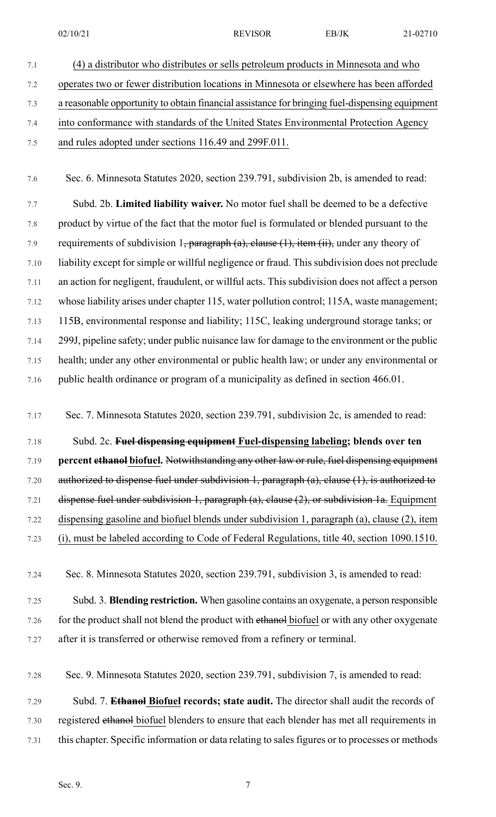- 
- 7.1 (4) a distributor who distributes or sells petroleum products in Minnesota and who 7.2 operates two or fewer distribution locations in Minnesota or elsewhere has been afforded 7.3 a reasonable opportunity to obtain financial assistance for bringing fuel-dispensing equipment 7.4 into conformance with standards of the United States Environmental Protection Agency 7.5 and rules adopted under sections 116.49 and 299F.011.

7.6 Sec. 6. Minnesota Statutes 2020, section 239.791, subdivision 2b, is amended to read:

7.7 Subd. 2b. **Limited liability waiver.** No motor fuel shall be deemed to be a defective 7.8 product by virtue of the fact that the motor fuel is formulated or blended pursuant to the 7.9 requirements of subdivision 1, paragraph (a), clause  $(1)$ , item  $(ii)$ , under any theory of 7.10 liability except for simple or willful negligence or fraud. This subdivision does not preclude 7.11 an action for negligent, fraudulent, or willful acts. This subdivision does not affect a person 7.12 whose liability arises under chapter 115, water pollution control; 115A, waste management; 7.13 115B, environmental response and liability; 115C, leaking underground storage tanks; or 7.14 299J, pipeline safety; under public nuisance law for damage to the environment or the public 7.15 health; under any other environmental or public health law; or under any environmental or 7.16 public health ordinance or program of a municipality as defined in section 466.01.

7.17 Sec. 7. Minnesota Statutes 2020, section 239.791, subdivision 2c, is amended to read:

7.18 Subd. 2c. **Fuel dispensing equipment Fuel-dispensing labeling; blends over ten**

7.19 **percent ethanol biofuel.** Notwithstanding any other law or rule, fuel dispensing equipment

7.20 authorized to dispense fuel under subdivision 1, paragraph (a), clause (1), is authorized to

7.21 dispense fuel under subdivision 1, paragraph (a), clause (2), or subdivision 1a. Equipment 7.22 dispensing gasoline and biofuel blends under subdivision 1, paragraph (a), clause (2), item

7.23 (i), must be labeled according to Code of Federal Regulations, title 40, section 1090.1510.

7.24 Sec. 8. Minnesota Statutes 2020, section 239.791, subdivision 3, is amended to read:

- 7.25 Subd. 3. **Blending restriction.** When gasoline contains an oxygenate, a person responsible 7.26 for the product shall not blend the product with ethanol biofuel or with any other oxygenate 7.27 after it is transferred or otherwise removed from a refinery or terminal.
- 7.28 Sec. 9. Minnesota Statutes 2020, section 239.791, subdivision 7, is amended to read:
- 7.29 Subd. 7. **Ethanol Biofuel records; state audit.** The director shall audit the records of 7.30 registered ethanol biofuel blenders to ensure that each blender has met all requirements in 7.31 this chapter. Specific information or data relating to sales figures or to processes or methods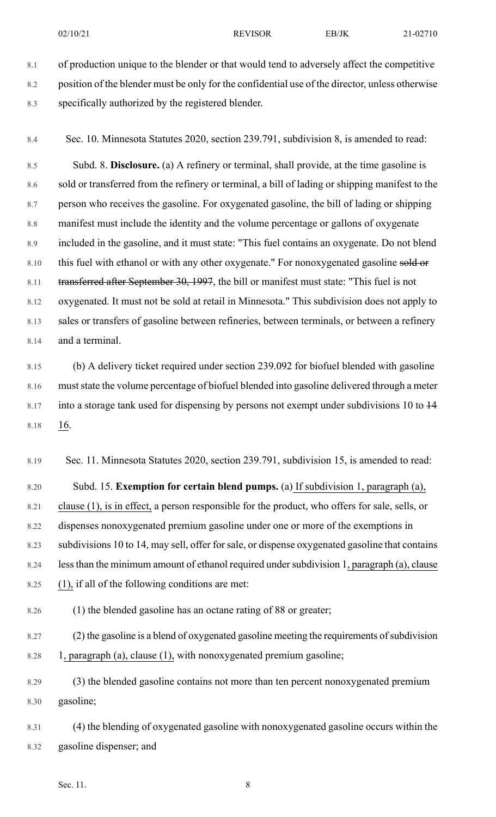8.1 of production unique to the blender or that would tend to adversely affect the competitive 8.2 position of the blender must be only for the confidential use of the director, unless otherwise 8.3 specifically authorized by the registered blender.

8.4 Sec. 10. Minnesota Statutes 2020, section 239.791, subdivision 8, is amended to read:

8.5 Subd. 8. **Disclosure.** (a) A refinery or terminal, shall provide, at the time gasoline is 8.6 sold or transferred from the refinery or terminal, a bill of lading or shipping manifest to the 8.7 person who receives the gasoline. For oxygenated gasoline, the bill of lading or shipping 8.8 manifest must include the identity and the volume percentage or gallons of oxygenate 8.9 included in the gasoline, and it must state: "This fuel contains an oxygenate. Do not blend 8.10 this fuel with ethanol or with any other oxygenate." For nonoxygenated gasoline sold or 8.11 transferred after September 30, 1997, the bill or manifest must state: "This fuel is not 8.12 oxygenated. It must not be sold at retail in Minnesota." This subdivision does not apply to 8.13 sales or transfers of gasoline between refineries, between terminals, or between a refinery 8.14 and a terminal.

8.15 (b) A delivery ticket required under section 239.092 for biofuel blended with gasoline 8.16 muststate the volume percentage of biofuel blended into gasoline delivered through a meter 8.17 into a storage tank used for dispensing by persons not exempt under subdivisions 10 to  $\frac{14}{1}$ 8.18 16.

8.19 Sec. 11. Minnesota Statutes 2020, section 239.791, subdivision 15, is amended to read:

8.20 Subd. 15. **Exemption for certain blend pumps.** (a) If subdivision 1, paragraph (a), 8.21 clause (1), is in effect, a person responsible for the product, who offers for sale, sells, or 8.22 dispenses nonoxygenated premium gasoline under one or more of the exemptions in 8.23 subdivisions 10 to 14, may sell, offer forsale, or dispense oxygenated gasoline that contains 8.24 less than the minimum amount of ethanol required under subdivision 1, paragraph (a), clause 8.25 (1), if all of the following conditions are met:

8.26 (1) the blended gasoline has an octane rating of 88 or greater;

8.27 (2) the gasoline is a blend of oxygenated gasoline meeting the requirements of subdivision 8.28 1, paragraph (a), clause (1), with nonoxygenated premium gasoline;

8.29 (3) the blended gasoline contains not more than ten percent nonoxygenated premium 8.30 gasoline;

8.31 (4) the blending of oxygenated gasoline with nonoxygenated gasoline occurs within the 8.32 gasoline dispenser; and